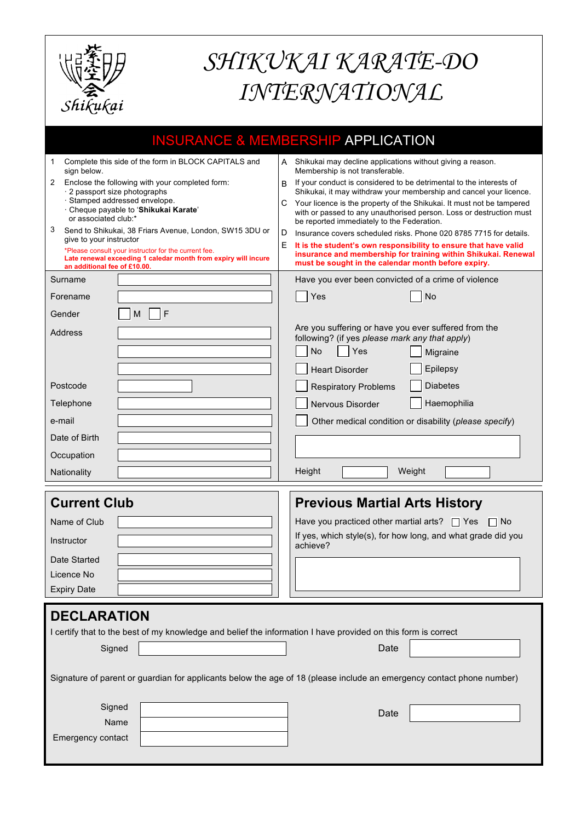

## *SHIKUKAI KARATE-DO INTERNATIONAL*

|                                                                                                                                                        | <b>INSURANCE &amp; MEMBERSHIP APPLICATION</b>                                                                                                                                                   |  |  |
|--------------------------------------------------------------------------------------------------------------------------------------------------------|-------------------------------------------------------------------------------------------------------------------------------------------------------------------------------------------------|--|--|
| Complete this side of the form in BLOCK CAPITALS and<br>1<br>sign below.                                                                               | A Shikukai may decline applications without giving a reason.<br>Membership is not transferable.                                                                                                 |  |  |
| Enclose the following with your completed form:<br>2<br>· 2 passport size photographs                                                                  | If your conduct is considered to be detrimental to the interests of<br>B.<br>Shikukai, it may withdraw your membership and cancel your licence.                                                 |  |  |
| · Stamped addressed envelope.<br>· Cheque payable to 'Shikukai Karate'<br>or associated club:*                                                         | C Your licence is the property of the Shikukai. It must not be tampered<br>with or passed to any unauthorised person. Loss or destruction must<br>be reported immediately to the Federation.    |  |  |
| 3<br>Send to Shikukai, 38 Friars Avenue, London, SW15 3DU or<br>give to your instructor                                                                | Insurance covers scheduled risks. Phone 020 8785 7715 for details.<br>D                                                                                                                         |  |  |
| *Please consult your instructor for the current fee.<br>Late renewal exceeding 1 caledar month from expiry will incure<br>an additional fee of £10.00. | It is the student's own responsibility to ensure that have valid<br>E.<br>insurance and membership for training within Shikukai. Renewal<br>must be sought in the calendar month before expiry. |  |  |
| Surname                                                                                                                                                | Have you ever been convicted of a crime of violence                                                                                                                                             |  |  |
| Forename                                                                                                                                               | Yes<br>No                                                                                                                                                                                       |  |  |
| F<br>Gender<br>М                                                                                                                                       |                                                                                                                                                                                                 |  |  |
| Address                                                                                                                                                | Are you suffering or have you ever suffered from the<br>following? (if yes please mark any that apply)                                                                                          |  |  |
|                                                                                                                                                        | No<br>Yes<br>Migraine                                                                                                                                                                           |  |  |
|                                                                                                                                                        | Epilepsy<br><b>Heart Disorder</b>                                                                                                                                                               |  |  |
| Postcode                                                                                                                                               | <b>Diabetes</b><br><b>Respiratory Problems</b>                                                                                                                                                  |  |  |
| Telephone                                                                                                                                              | Haemophilia<br>Nervous Disorder                                                                                                                                                                 |  |  |
| e-mail                                                                                                                                                 | Other medical condition or disability (please specify)                                                                                                                                          |  |  |
| Date of Birth                                                                                                                                          |                                                                                                                                                                                                 |  |  |
| Occupation                                                                                                                                             |                                                                                                                                                                                                 |  |  |
| Nationality                                                                                                                                            | Height<br>Weight                                                                                                                                                                                |  |  |
| <b>Current Club</b>                                                                                                                                    | <b>Previous Martial Arts History</b>                                                                                                                                                            |  |  |
| Name of Club                                                                                                                                           | Have you practiced other martial arts? $\Box$ Yes<br>$\Box$ No                                                                                                                                  |  |  |
| Instructor                                                                                                                                             | If yes, which style(s), for how long, and what grade did you<br>achieve?                                                                                                                        |  |  |
| Date Started                                                                                                                                           |                                                                                                                                                                                                 |  |  |
| Licence No                                                                                                                                             |                                                                                                                                                                                                 |  |  |
| <b>Expiry Date</b>                                                                                                                                     |                                                                                                                                                                                                 |  |  |
| <b>DECLARATION</b><br>I certify that to the best of my knowledge and belief the information I have provided on this form is correct                    |                                                                                                                                                                                                 |  |  |
| Signed                                                                                                                                                 | Date                                                                                                                                                                                            |  |  |
| Signature of parent or guardian for applicants below the age of 18 (please include an emergency contact phone number)                                  |                                                                                                                                                                                                 |  |  |
| Signed                                                                                                                                                 | Date                                                                                                                                                                                            |  |  |
| Name                                                                                                                                                   |                                                                                                                                                                                                 |  |  |
| Emergency contact                                                                                                                                      |                                                                                                                                                                                                 |  |  |